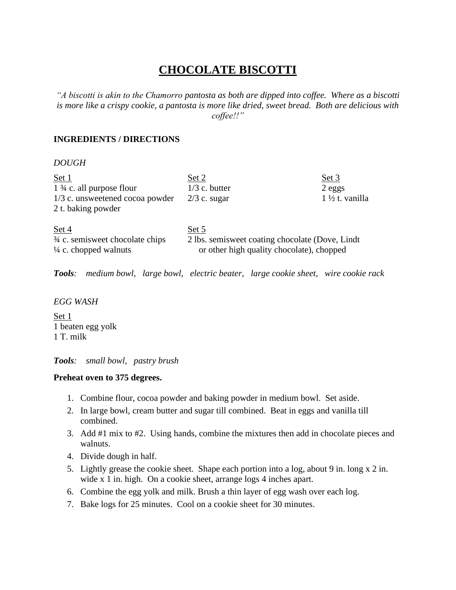# **CHOCOLATE BISCOTTI**

*"A biscotti is akin to the Chamorro pantosta as both are dipped into coffee. Where as a biscotti is more like a crispy cookie, a pantosta is more like dried, sweet bread. Both are delicious with coffee!!"*

## **INGREDIENTS / DIRECTIONS**

#### *DOUGH*

| Set 1                                                                | Set 2                                                                                         | Set 3                     |
|----------------------------------------------------------------------|-----------------------------------------------------------------------------------------------|---------------------------|
| $1\frac{3}{4}$ c. all purpose flour                                  | $1/3$ c. butter                                                                               | $2$ eggs                  |
| 1/3 c. unsweetened cocoa powder                                      | $2/3$ c. sugar                                                                                | $1\frac{1}{2}t$ . vanilla |
| 2 t. baking powder                                                   |                                                                                               |                           |
|                                                                      |                                                                                               |                           |
| Set 4                                                                | Set 5                                                                                         |                           |
| 3/4 c. semisweet chocolate chips<br>$\frac{1}{4}$ c. chopped walnuts | 2 lbs. semisweet coating chocolate (Dove, Lindt)<br>or other high quality chocolate), chopped |                           |

*Tools: medium bowl, large bowl, electric beater, large cookie sheet, wire cookie rack*

#### *EGG WASH*

Set 1 1 beaten egg yolk 1 T. milk

*Tools: small bowl, pastry brush*

### **Preheat oven to 375 degrees.**

- 1. Combine flour, cocoa powder and baking powder in medium bowl. Set aside.
- 2. In large bowl, cream butter and sugar till combined. Beat in eggs and vanilla till combined.
- 3. Add #1 mix to #2. Using hands, combine the mixtures then add in chocolate pieces and walnuts.
- 4. Divide dough in half.
- 5. Lightly grease the cookie sheet. Shape each portion into a log, about 9 in. long x 2 in. wide x 1 in. high. On a cookie sheet, arrange logs 4 inches apart.
- 6. Combine the egg yolk and milk. Brush a thin layer of egg wash over each log.
- 7. Bake logs for 25 minutes. Cool on a cookie sheet for 30 minutes.